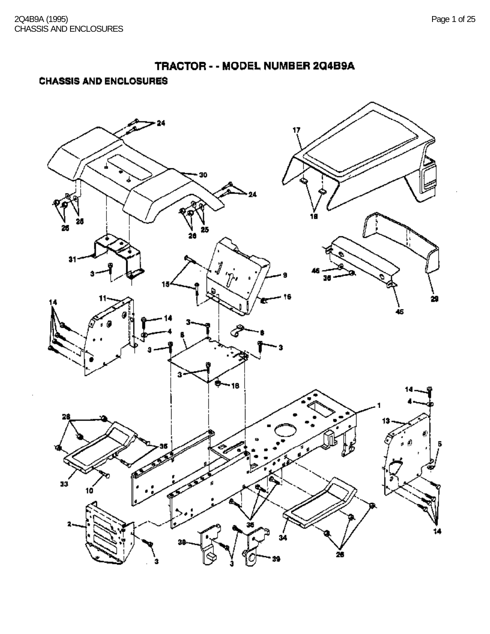### **CHASSIS AND ENCLOSURES**

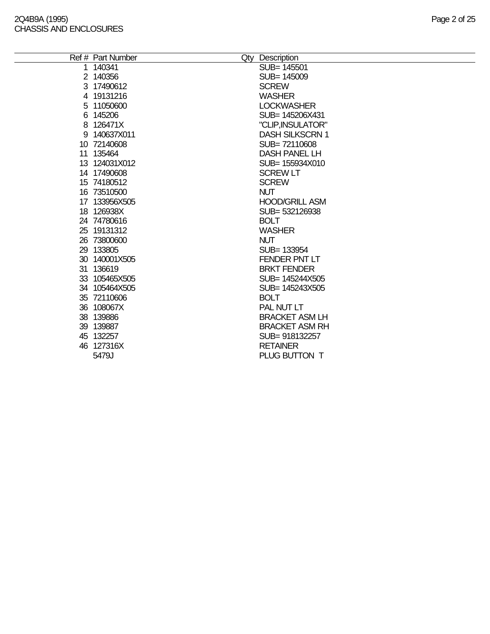$\overline{\phantom{a}}$ 

| Ref # Part Number | Qty Description        |
|-------------------|------------------------|
| 1 140341          | SUB= 145501            |
| 2 140356          | SUB= 145009            |
| 3 17490612        | <b>SCREW</b>           |
| 4 19131216        | <b>WASHER</b>          |
| 5 11050600        | <b>LOCKWASHER</b>      |
| 6 145206          | SUB= 145206X431        |
| 8 126471X         | "CLIP, INSULATOR"      |
| 9 140637X011      | <b>DASH SILKSCRN 1</b> |
| 10 72140608       | SUB=72110608           |
| 11 135464         | <b>DASH PANEL LH</b>   |
| 13 124031X012     | SUB= 155934X010        |
| 14 17490608       | <b>SCREW LT</b>        |
| 15 74180512       | <b>SCREW</b>           |
| 16 73510500       | <b>NUT</b>             |
| 17 133956X505     | <b>HOOD/GRILL ASM</b>  |
| 18 126938X        | SUB=532126938          |
| 24 74780616       | <b>BOLT</b>            |
| 25 19131312       | <b>WASHER</b>          |
| 26 73800600       | <b>NUT</b>             |
| 29 133805         | SUB= 133954            |
| 30 140001X505     | FENDER PNT LT          |
| 31 136619         | <b>BRKT FENDER</b>     |
| 33 105465X505     | SUB= 145244X505        |
| 34 105464X505     | SUB= 145243X505        |
| 35 72110606       | <b>BOLT</b>            |
| 36 108067X        | PAL NUT LT             |
| 38 139886         | <b>BRACKET ASM LH</b>  |
| 39 139887         | <b>BRACKET ASM RH</b>  |
| 45 132257         | SUB=918132257          |
| 46 127316X        | <b>RETAINER</b>        |
| 5479J             | PLUG BUTTON T          |
|                   |                        |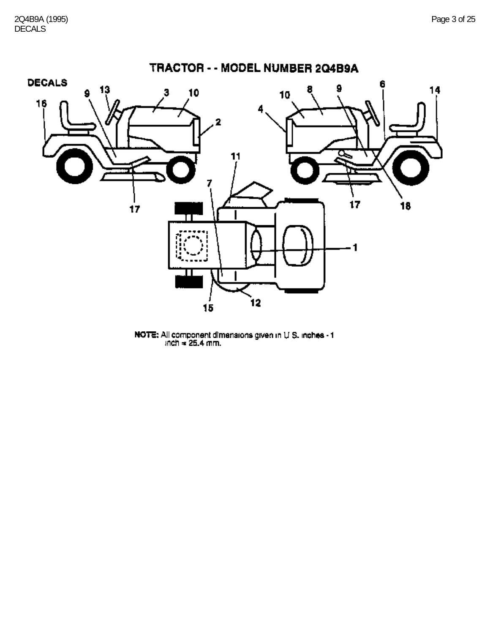

NOTE: All component dimensions given in U.S. inches - 1<br>inch = 25.4 mm.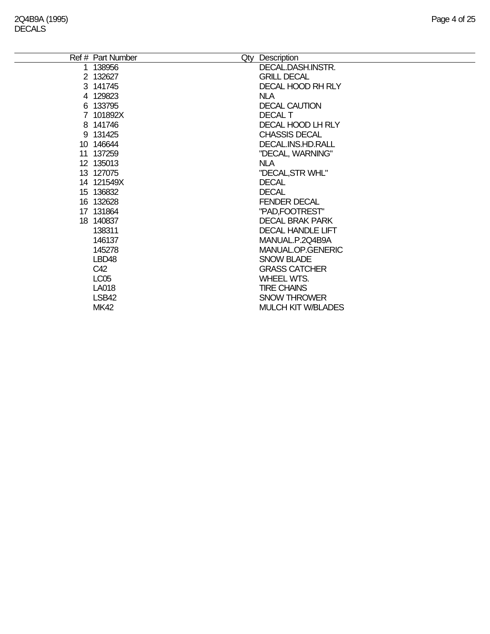| Ref # Part Number | Qty | Description               |
|-------------------|-----|---------------------------|
| 1 138956          |     | DECAL.DASH.INSTR.         |
| 2 132627          |     | <b>GRILL DECAL</b>        |
| 3 141745          |     | <b>DECAL HOOD RH RLY</b>  |
| 4 129823          |     | <b>NLA</b>                |
| 6 133795          |     | <b>DECAL CAUTION</b>      |
| 7 101892X         |     | <b>DECAL T</b>            |
| 8 141746          |     | DECAL HOOD LH RLY         |
| 9 131425          |     | <b>CHASSIS DECAL</b>      |
| 10 146644         |     | DECAL.INS.HD.RALL         |
| 11 137259         |     | "DECAL, WARNING"          |
| 12 135013         |     | NLA                       |
| 13 127075         |     | "DECAL, STR WHL"          |
| 14 121549X        |     | <b>DECAL</b>              |
| 15 136832         |     | <b>DECAL</b>              |
| 16 132628         |     | <b>FENDER DECAL</b>       |
| 17 131864         |     | "PAD, FOOTREST"           |
| 18 140837         |     | <b>DECAL BRAK PARK</b>    |
| 138311            |     | <b>DECAL HANDLE LIFT</b>  |
| 146137            |     | MANUAL.P.2Q4B9A           |
| 145278            |     | MANUAL.OP.GENERIC         |
| LBD48             |     | <b>SNOW BLADE</b>         |
| C42               |     | <b>GRASS CATCHER</b>      |
| LC <sub>05</sub>  |     | <b>WHEEL WTS.</b>         |
| LA018             |     | <b>TIRE CHAINS</b>        |
| LSB42             |     | <b>SNOW THROWER</b>       |
| <b>MK42</b>       |     | <b>MULCH KIT W/BLADES</b> |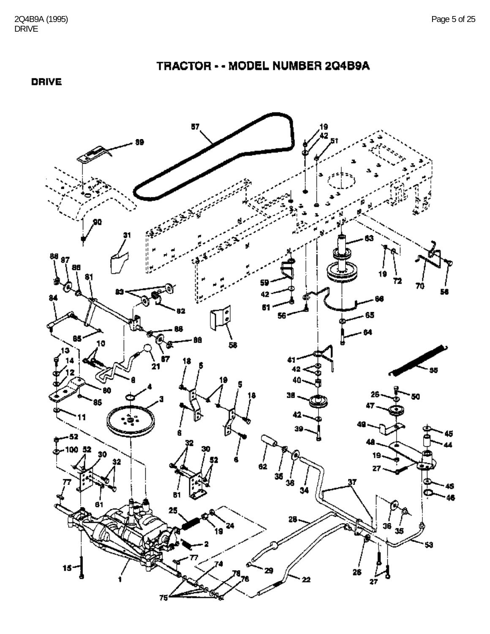### **DRIVE**

#### 19<br>42 88 87 ß. Ø 85 · ĤĤ Ġ7 t5 BO. ° 95 100 52 Ъ. B1 Ŕ۱ зŚ  $15 -$

TRACTOR - - MODEL NUMBER 2Q4B9A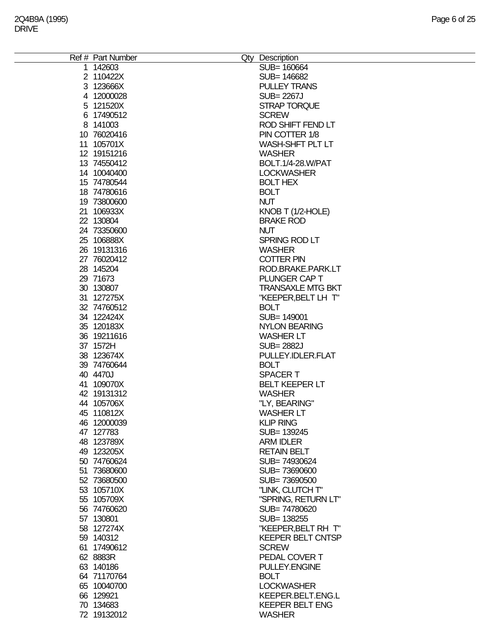| Ref # Part Number | Qty Description          |
|-------------------|--------------------------|
| 1 142603          | SUB= 160664              |
| 2 110422X         | SUB= 146682              |
|                   | <b>PULLEY TRANS</b>      |
| 3 123666X         |                          |
| 4 12000028        | <b>SUB=2267J</b>         |
| 5 121520X         | <b>STRAP TORQUE</b>      |
| 6 17490512        | <b>SCREW</b>             |
| 8 141003          | ROD SHIFT FEND LT        |
| 10 76020416       | PIN COTTER 1/8           |
| 11 105701X        | <b>WASH-SHFT PLT LT</b>  |
|                   |                          |
| 12 19151216       | <b>WASHER</b>            |
| 13 74550412       | <b>BOLT.1/4-28.W/PAT</b> |
| 14 10040400       | <b>LOCKWASHER</b>        |
| 15 74780544       | <b>BOLT HEX</b>          |
| 18 74780616       | <b>BOLT</b>              |
| 19 73800600       | <b>NUT</b>               |
| 21 106933X        |                          |
|                   | KNOB T (1/2-HOLE)        |
| 22 130804         | <b>BRAKE ROD</b>         |
| 24 73350600       | <b>NUT</b>               |
| 25 106888X        | SPRING ROD LT            |
| 26 19131316       | <b>WASHER</b>            |
| 27 76020412       | <b>COTTER PIN</b>        |
| 28 145204         | ROD.BRAKE.PARK.LT        |
|                   |                          |
| 29 71673          | PLUNGER CAP T            |
| 30 130807         | <b>TRANSAXLE MTG BKT</b> |
| 31 127275X        | "KEEPER, BELT LH T"      |
| 32 74760512       | <b>BOLT</b>              |
| 34 122424X        | SUB= 149001              |
| 35 120183X        | <b>NYLON BEARING</b>     |
| 36 19211616       | <b>WASHER LT</b>         |
| 37 1572H          | <b>SUB=2882J</b>         |
| 38 123674X        | PULLEY.IDLER.FLAT        |
|                   |                          |
| 39 74760644       | <b>BOLT</b>              |
| 40 4470J          | <b>SPACERT</b>           |
| 41 109070X        | <b>BELT KEEPER LT</b>    |
| 42 19131312       | <b>WASHER</b>            |
| 44 105706X        | "LY, BEARING"            |
| 45 110812X        | <b>WASHER LT</b>         |
| 46 12000039       | <b>KLIP RING</b>         |
| 47 127783         | SUB= 139245              |
| 48 123789X        | <b>ARM IDLER</b>         |
|                   |                          |
| 49 123205X        | <b>RETAIN BELT</b>       |
| 50 74760624       | SUB=74930624             |
| 51 73680600       | SUB=73690600             |
| 52 73680500       | SUB=73690500             |
| 53 105710X        | "LINK, CLUTCH T"         |
| 55 105709X        | "SPRING, RETURN LT"      |
| 56 74760620       | SUB=74780620             |
| 57 130801         | SUB= 138255              |
|                   |                          |
| 58 127274X        | "KEEPER, BELT RH T"      |
| 59 140312         | <b>KEEPER BELT CNTSP</b> |
| 61 17490612       | <b>SCREW</b>             |
| 62 8883R          | PEDAL COVER T            |
| 63 140186         | PULLEY.ENGINE            |
| 64 71170764       | <b>BOLT</b>              |
| 65 10040700       | <b>LOCKWASHER</b>        |
| 66 129921         | KEEPER.BELT.ENG.L        |
| 70 134683         | <b>KEEPER BELT ENG</b>   |
|                   |                          |
| 72 19132012       | <b>WASHER</b>            |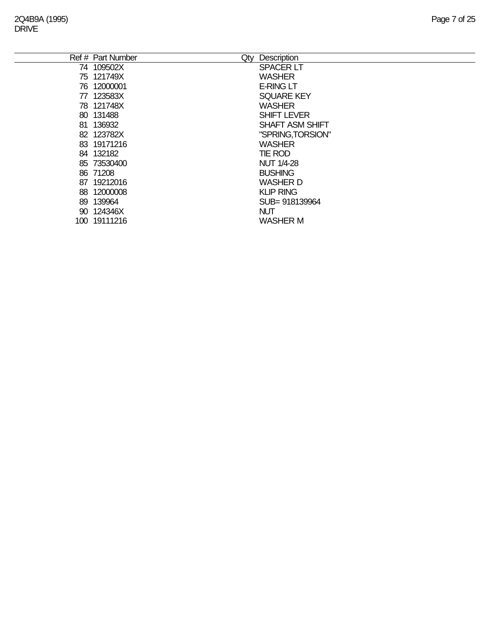|     | Qty<br>Ref # Part Number | Description            |
|-----|--------------------------|------------------------|
|     | 74 109502X               | <b>SPACER LT</b>       |
|     | 75 121749X               | <b>WASHER</b>          |
|     | 76 12000001              | <b>E-RING LT</b>       |
| 77  | 123583X                  | <b>SQUARE KEY</b>      |
|     | 78 121748X               | <b>WASHER</b>          |
|     | 80 131488                | <b>SHIFT LEVER</b>     |
| 81. | 136932                   | <b>SHAFT ASM SHIFT</b> |
|     | 82 123782X               | "SPRING, TORSION"      |
|     | 83 19171216              | <b>WASHER</b>          |
|     | 84 132182                | <b>TIE ROD</b>         |
|     | 85 73530400              | <b>NUT 1/4-28</b>      |
|     | 86 71208                 | <b>BUSHING</b>         |
| 87. | 19212016                 | <b>WASHER D</b>        |
|     | 88 12000008              | <b>KLIP RING</b>       |
|     | 89 139964                | SUB= 918139964         |
|     | 90 124346X               | <b>NUT</b>             |
|     | 100 19111216             | <b>WASHER M</b>        |
|     |                          |                        |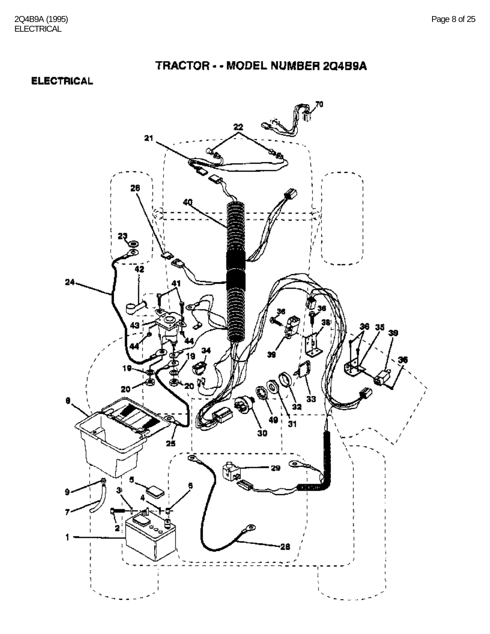### **ELECTRICAL**

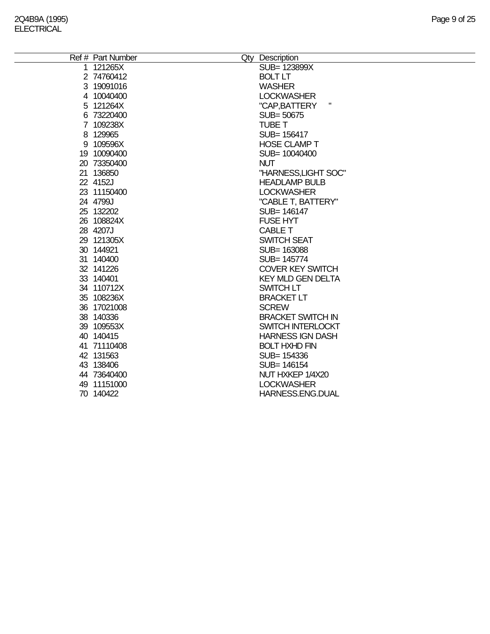| Ref # Part Number | Qty Description          |
|-------------------|--------------------------|
| 1 121265X         | SUB= 123899X             |
| 2 74760412        | <b>BOLT LT</b>           |
| 3 19091016        | <b>WASHER</b>            |
| 4 10040400        | <b>LOCKWASHER</b>        |
| 5 121264X         | н<br>"CAP, BATTERY       |
| 6 73220400        | SUB=50675                |
| 7 109238X         | <b>TUBE T</b>            |
| 8 129965          | SUB= 156417              |
| 9 109596X         | <b>HOSE CLAMP T</b>      |
| 19 10090400       | SUB= 10040400            |
| 20 73350400       | <b>NUT</b>               |
| 21 136850         | "HARNESS, LIGHT SOC"     |
| 22 4152J          | <b>HEADLAMP BULB</b>     |
| 23 11150400       | <b>LOCKWASHER</b>        |
| 24 4799J          | "CABLE T, BATTERY"       |
| 25 132202         | SUB= 146147              |
| 26 108824X        | <b>FUSE HYT</b>          |
| 28 4207J          | CABLE T                  |
| 29 121305X        | <b>SWITCH SEAT</b>       |
| 30 144921         | SUB= 163088              |
| 31 140400         | SUB= 145774              |
| 32 141226         | <b>COVER KEY SWITCH</b>  |
| 33 140401         | <b>KEY MLD GEN DELTA</b> |
| 34 110712X        | SWITCH LT                |
| 35 108236X        | <b>BRACKET LT</b>        |
| 36 17021008       | <b>SCREW</b>             |
| 38 140336         | <b>BRACKET SWITCH IN</b> |
| 39 109553X        | SWITCH INTERLOCKT        |
| 40 140415         | <b>HARNESS IGN DASH</b>  |
| 41 71110408       | <b>BOLT HXHD FIN</b>     |
| 42 131563         | SUB= 154336              |
| 43 138406         | SUB= 146154              |
| 44 73640400       | NUT HXKEP 1/4X20         |
| 49 11151000       | <b>LOCKWASHER</b>        |
| 70 140422         | HARNESS.ENG.DUAL         |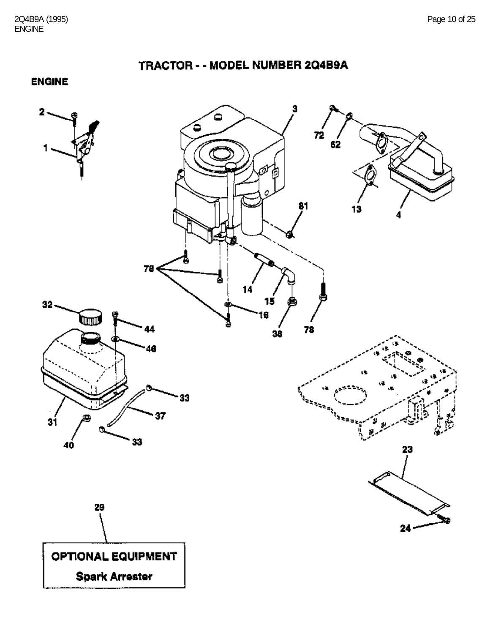TRACTOR - - MODEL NUMBER 2Q4B9A

**ENGINE** 

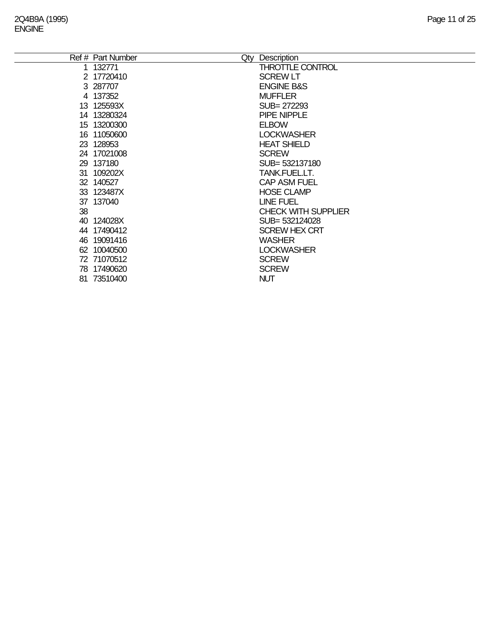|     | Ref # Part Number | Description                    |
|-----|-------------------|--------------------------------|
|     | 1 132771          | Qty<br><b>THROTTLE CONTROL</b> |
|     |                   |                                |
|     | 2 17720410        | <b>SCREW LT</b>                |
|     | 3 287707          | <b>ENGINE B&amp;S</b>          |
|     | 4 137352          | <b>MUFFLER</b>                 |
|     | 13 125593X        | SUB= 272293                    |
|     | 14 13280324       | <b>PIPE NIPPLE</b>             |
|     | 15 13200300       | <b>ELBOW</b>                   |
|     | 16 11050600       | <b>LOCKWASHER</b>              |
|     | 23 128953         | <b>HEAT SHIELD</b>             |
|     | 24 17021008       | <b>SCREW</b>                   |
|     | 29 137180         | SUB= 532137180                 |
|     | 31 109202X        | TANK.FUEL.LT.                  |
|     | 32 140527         | <b>CAP ASM FUEL</b>            |
|     | 33 123487X        | <b>HOSE CLAMP</b>              |
|     | 37 137040         | <b>LINE FUEL</b>               |
| 38  |                   | <b>CHECK WITH SUPPLIER</b>     |
|     | 40 124028X        | SUB= 532124028                 |
|     | 44 17490412       | <b>SCREW HEX CRT</b>           |
|     | 46 19091416       | <b>WASHER</b>                  |
|     | 62 10040500       | <b>LOCKWASHER</b>              |
|     | 72 71070512       | <b>SCREW</b>                   |
|     | 78 17490620       | <b>SCREW</b>                   |
| 81. | 73510400          | <b>NUT</b>                     |
|     |                   |                                |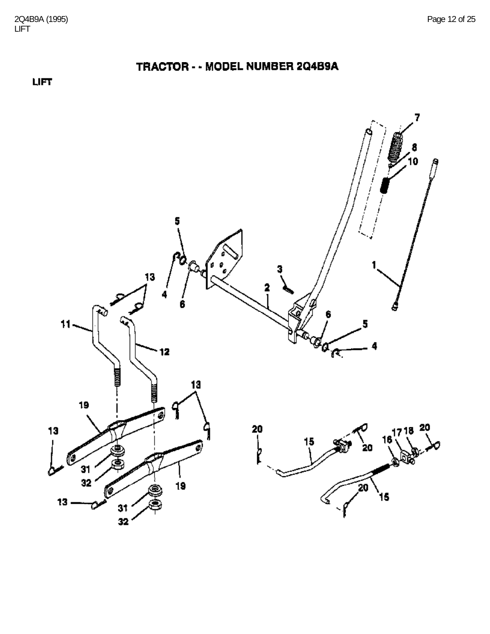**LIFT** 

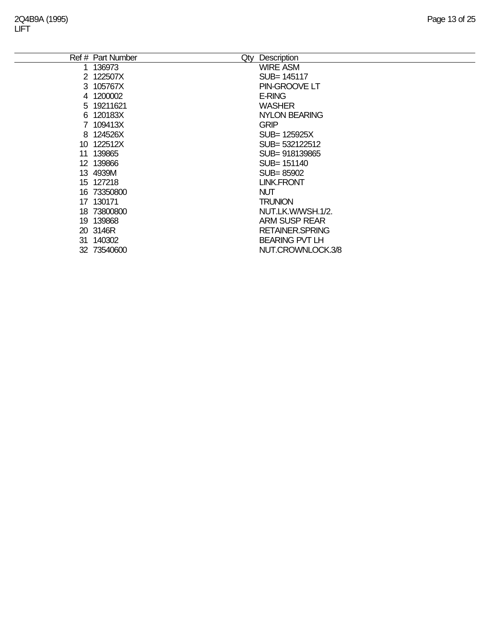|    | Ref # Part Number<br>Qty | Description            |
|----|--------------------------|------------------------|
| 1  | 136973                   | <b>WIRE ASM</b>        |
|    | 2 122507X                | SUB= 145117            |
|    | 3 105767X                | PIN-GROOVE LT          |
|    | 4 1200002                | <b>E-RING</b>          |
|    | 5 19211621               | <b>WASHER</b>          |
|    | 6 120183X                | <b>NYLON BEARING</b>   |
|    | 7 109413X                | <b>GRIP</b>            |
|    | 8 124526X                | SUB= 125925X           |
| 10 | 122512X                  | SUB= 532122512         |
| 11 | 139865                   | SUB= 918139865         |
|    | 12 139866                | SUB= 151140            |
|    | 13 4939M                 | SUB=85902              |
|    | 15 127218                | <b>LINK.FRONT</b>      |
|    | 16 73350800              | <b>NUT</b>             |
|    | 17 130171                | <b>TRUNION</b>         |
|    | 18 73800800              | NUT.LK.W/WSH.1/2.      |
|    | 19 139868                | <b>ARM SUSP REAR</b>   |
|    | 20 3146R                 | <b>RETAINER.SPRING</b> |
|    | 31 140302                | <b>BEARING PVT LH</b>  |
|    | 32 73540600              | NUT.CROWNLOCK.3/8      |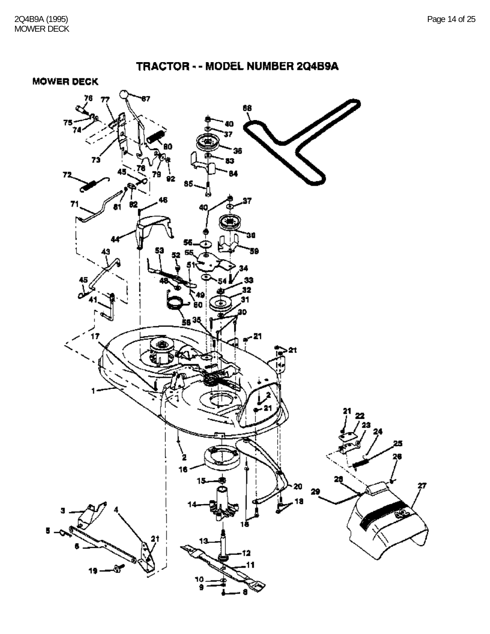**MOWER DECK** 

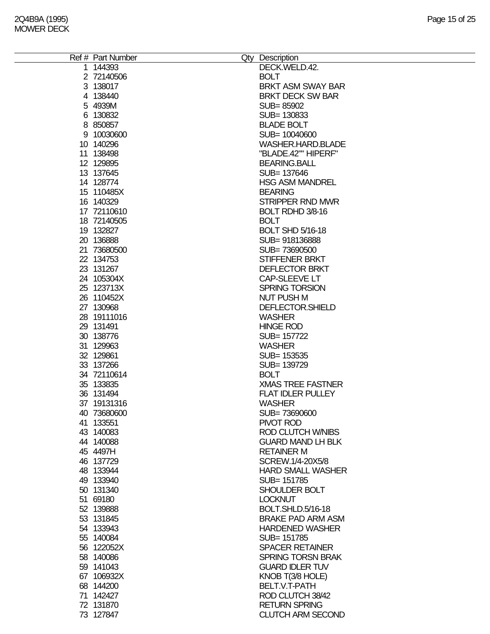| Ref # Part Number | Qty Description          |
|-------------------|--------------------------|
| 1 144393          | DECK.WELD.42.            |
| 2 72140506        | <b>BOLT</b>              |
| 3 138017          | <b>BRKT ASM SWAY BAR</b> |
|                   |                          |
| 4 138440          | <b>BRKT DECK SW BAR</b>  |
| 5 4939M           | SUB=85902                |
| 6 130832          | SUB= 130833              |
| 8 850857          | <b>BLADE BOLT</b>        |
| 9 10030600        | SUB= 10040600            |
| 10 140296         | WASHER.HARD.BLADE        |
| 11 138498         | "BLADE.42"" HIPERF"      |
| 12 129895         | <b>BEARING.BALL</b>      |
| 13 137645         | SUB= 137646              |
| 14 128774         | <b>HSG ASM MANDREL</b>   |
| 15 110485X        | <b>BEARING</b>           |
| 16 140329         | STRIPPER RND MWR         |
| 17 72110610       | BOLT RDHD 3/8-16         |
| 18 72140505       | <b>BOLT</b>              |
| 19 132827         | <b>BOLT SHD 5/16-18</b>  |
| 20 136888         | SUB=918136888            |
| 21 73680500       | SUB=73690500             |
| 22 134753         | STIFFENER BRKT           |
| 23 131267         | <b>DEFLECTOR BRKT</b>    |
| 24 105304X        | CAP-SLEEVE LT            |
| 25 123713X        | SPRING TORSION           |
|                   |                          |
| 26 110452X        | <b>NUT PUSH M</b>        |
| 27 130968         | DEFLECTOR.SHIELD         |
| 28 19111016       | <b>WASHER</b>            |
| 29 131491         | <b>HINGE ROD</b>         |
| 30 138776         | SUB= 157722              |
| 31 129963         | <b>WASHER</b>            |
| 32 129861         | SUB= 153535              |
| 33 137266         | SUB= 139729              |
| 34 72110614       | <b>BOLT</b>              |
| 35 133835         | <b>XMAS TREE FASTNER</b> |
| 36 131494         | <b>FLAT IDLER PULLEY</b> |
| 37 19131316       | <b>WASHER</b>            |
| 40 73680600       | SUB=73690600             |
| 41 133551         | PIVOT ROD                |
| 43 140083         | ROD CLUTCH W/NIBS        |
| 44 140088         | <b>GUARD MAND LH BLK</b> |
| 45 4497H          | <b>RETAINER M</b>        |
| 46 137729         | SCREW.1/4-20X5/8         |
| 48 133944         | <b>HARD SMALL WASHER</b> |
| 49 133940         | SUB= 151785              |
| 50 131340         | SHOULDER BOLT            |
| 51 69180          | <b>LOCKNUT</b>           |
| 52 139888         | <b>BOLT.SHLD.5/16-18</b> |
| 53 131845         | <b>BRAKE PAD ARM ASM</b> |
| 54 133943         | <b>HARDENED WASHER</b>   |
| 55 140084         | SUB= 151785              |
|                   | <b>SPACER RETAINER</b>   |
| 56 122052X        |                          |
| 58 140086         | <b>SPRING TORSN BRAK</b> |
| 59 141043         | <b>GUARD IDLER TUV</b>   |
| 67 106932X        | KNOB T(3/8 HOLE)         |
| 68 144200         | BELT.V.T-PATH            |
| 71 142427         | ROD CLUTCH 38/42         |
| 72 131870         | <b>RETURN SPRING</b>     |
| 73 127847         | <b>CLUTCH ARM SECOND</b> |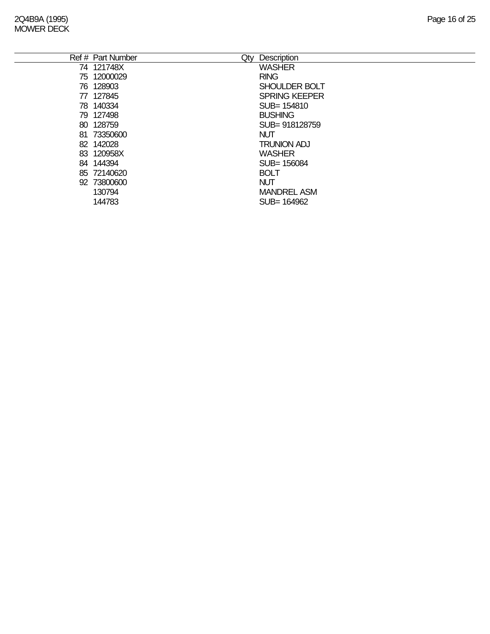| Ref # Part Number | Qty | Description          |
|-------------------|-----|----------------------|
| 74 121748X        |     | <b>WASHER</b>        |
| 75 12000029       |     | <b>RING</b>          |
| 76 128903         |     | <b>SHOULDER BOLT</b> |
| 77 127845         |     | <b>SPRING KEEPER</b> |
| 78 140334         |     | SUB= 154810          |
| 79 127498         |     | <b>BUSHING</b>       |
| 80 128759         |     | SUB= 918128759       |
| 81 73350600       |     | <b>NUT</b>           |
| 82 142028         |     | <b>TRUNION ADJ</b>   |
| 83 120958X        |     | <b>WASHER</b>        |
| 84 144394         |     | SUB= 156084          |
| 85 72140620       |     | <b>BOLT</b>          |
| 92 73800600       |     | <b>NUT</b>           |
| 130794            |     | <b>MANDREL ASM</b>   |
| 144783            |     | SUB= 164962          |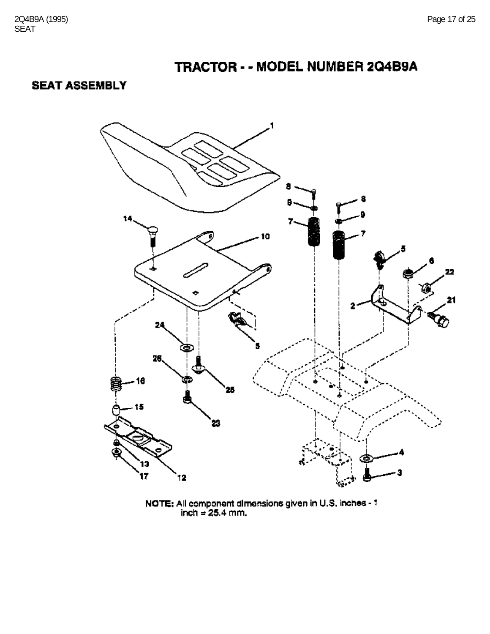### **SEAT ASSEMBLY**



NOTE: All component dimensions given in U.S. inches -  $1$ <br>inch = 25.4 mm.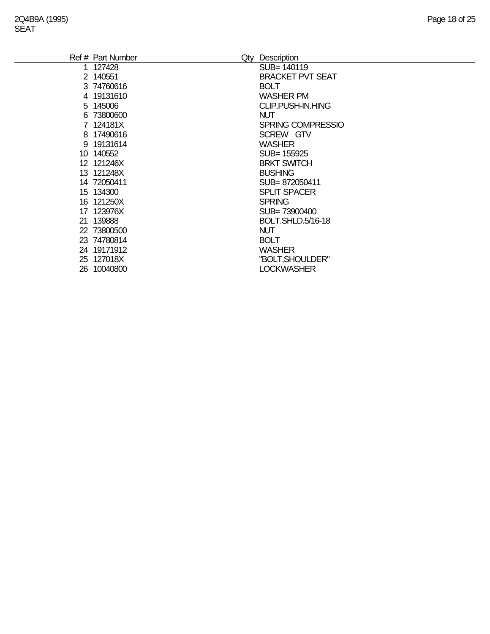| Ref # Part Number | Qty | Description              |
|-------------------|-----|--------------------------|
| 1 127428          |     | SUB=140119               |
| 2 140551          |     | <b>BRACKET PVT SEAT</b>  |
| 3 74760616        |     | <b>BOLT</b>              |
| 4 19131610        |     | <b>WASHER PM</b>         |
| 5 145006          |     | <b>CLIP.PUSH-IN.HING</b> |
| 6 73800600        |     | <b>NUT</b>               |
| 7 124181X         |     | <b>SPRING COMPRESSIO</b> |
| 8 17490616        |     | SCREW GTV                |
| 9 19131614        |     | <b>WASHER</b>            |
| 10 140552         |     | SUB= 155925              |
| 12 121246X        |     | <b>BRKT SWITCH</b>       |
| 13 121248X        |     | <b>BUSHING</b>           |
| 14 72050411       |     | SUB=872050411            |
| 15 134300         |     | <b>SPLIT SPACER</b>      |
| 16 121250X        |     | <b>SPRING</b>            |
| 17 123976X        |     | SUB=73900400             |
| 21 139888         |     | BOLT.SHLD.5/16-18        |
| 22 73800500       |     | <b>NUT</b>               |
| 23 74780814       |     | <b>BOLT</b>              |
| 24 19171912       |     | <b>WASHER</b>            |
| 25 127018X        |     | "BOLT, SHOULDER"         |
| 26 10040800       |     | <b>LOCKWASHER</b>        |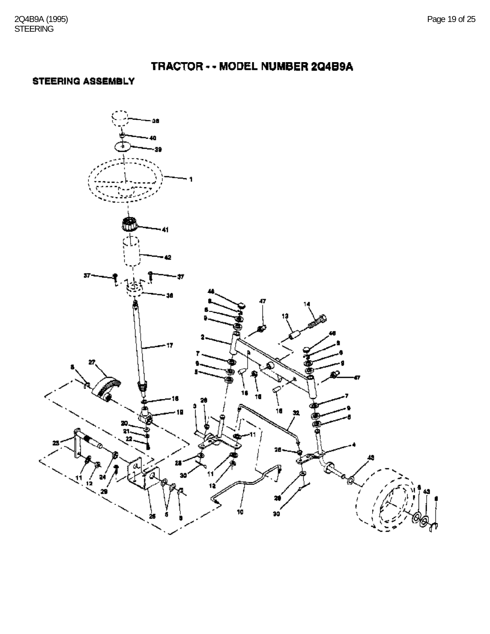### **STEERING ASSEMBLY**

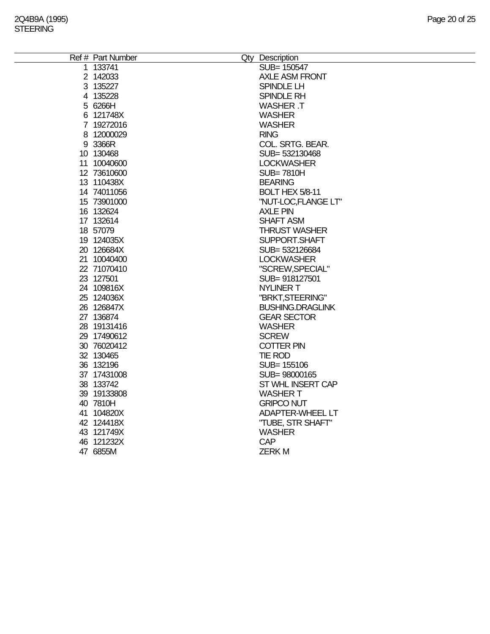| Ref # Part Number | Qty Description         |
|-------------------|-------------------------|
| 1 133741          | SUB= 150547             |
| 2 142033          | <b>AXLE ASM FRONT</b>   |
| 3 135227          | SPINDLE LH              |
| 4 135228          | SPINDLE RH              |
| 5 6266H           | <b>WASHER T</b>         |
| 6 121748X         | <b>WASHER</b>           |
| 7 19272016        | <b>WASHER</b>           |
| 8 12000029        | <b>RING</b>             |
| 9 3366R           | COL. SRTG. BEAR.        |
| 10 130468         | SUB= 532130468          |
| 11 10040600       | <b>LOCKWASHER</b>       |
| 12 73610600       | <b>SUB=7810H</b>        |
| 13 110438X        | <b>BEARING</b>          |
| 14 74011056       | BOLT HEX 5/8-11         |
| 15 73901000       | "NUT-LOC, FLANGE LT"    |
| 16 132624         | <b>AXLE PIN</b>         |
| 17 132614         | <b>SHAFT ASM</b>        |
| 18 57079          | <b>THRUST WASHER</b>    |
| 19 124035X        | SUPPORT.SHAFT           |
| 20 126684X        | SUB=532126684           |
| 21 10040400       | <b>LOCKWASHER</b>       |
| 22 71070410       | "SCREW, SPECIAL"        |
| 23 127501         | SUB=918127501           |
| 24 109816X        | <b>NYLINER T</b>        |
| 25 124036X        | "BRKT, STEERING"        |
| 26 126847X        | <b>BUSHING.DRAGLINK</b> |
| 27 136874         | <b>GEAR SECTOR</b>      |
| 28 19131416       | <b>WASHER</b>           |
| 29 17490612       | <b>SCREW</b>            |
| 30 76020412       | <b>COTTER PIN</b>       |
| 32 130465         | <b>TIE ROD</b>          |
| 36 132196         | SUB= 155106             |
| 37 17431008       | SUB= 98000165           |
| 38 133742         | ST WHL INSERT CAP       |
| 39 19133808       | <b>WASHER T</b>         |
| 40 7810H          | <b>GRIPCO NUT</b>       |
| 41 104820X        | <b>ADAPTER-WHEEL LT</b> |
| 42 124418X        | "TUBE, STR SHAFT"       |
| 43 121749X        | <b>WASHER</b>           |
| 46 121232X        | <b>CAP</b>              |
| 47 6855M          | <b>ZERKM</b>            |
|                   |                         |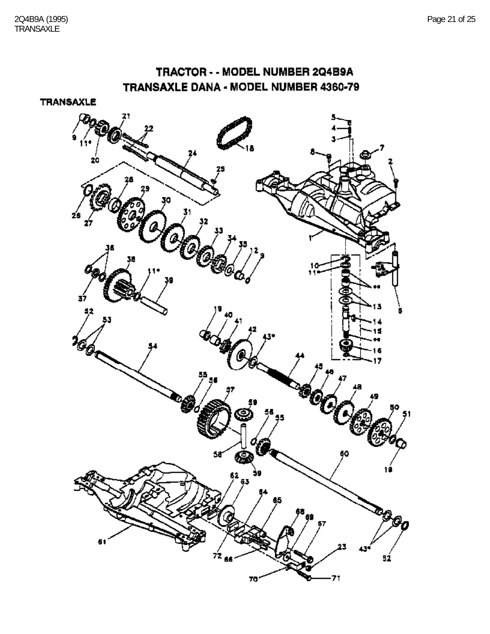### TRACTOR - - MODEL NUMBER 2Q4B9A TRANSAXLE DANA - MODEL NUMBER 4360-79

**TRANSAXLE** 

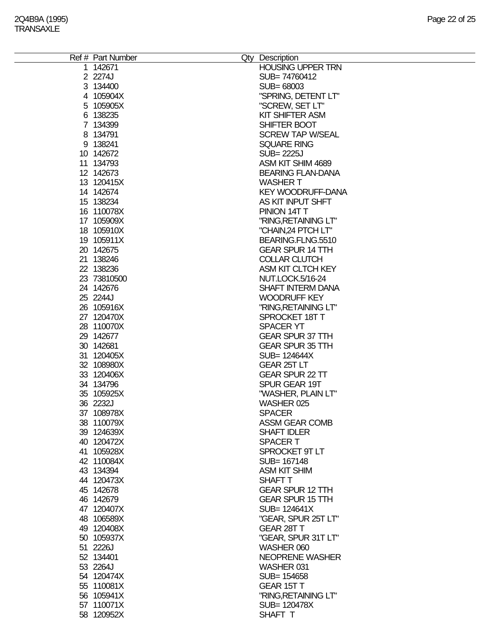| Ref # Part Number | Qty Description          |
|-------------------|--------------------------|
| 1 142671          | <b>HOUSING UPPER TRN</b> |
|                   |                          |
| 2 2274J           | SUB=74760412             |
| 3 134400          | SUB= 68003               |
| 4 105904X         | "SPRING, DETENT LT"      |
| 5 105905X         | "SCREW, SET LT"          |
| 6 138235          | <b>KIT SHIFTER ASM</b>   |
| 7 134399          | SHIFTER BOOT             |
| 8 134791          | <b>SCREW TAP W/SEAL</b>  |
| 9 138241          | <b>SQUARE RING</b>       |
| 10 142672         | SUB= 2225J               |
| 11 134793         | ASM KIT SHIM 4689        |
| 12 142673         | <b>BEARING FLAN-DANA</b> |
| 13 120415X        | <b>WASHER T</b>          |
| 14 142674         | <b>KEY WOODRUFF-DANA</b> |
| 15 138234         | AS KIT INPUT SHFT        |
| 16 110078X        | PINION 14T T             |
| 17 105909X        | "RING, RETAINING LT"     |
|                   |                          |
| 18 105910X        | "CHAIN,24 PTCH LT"       |
| 19 105911X        | BEARING.FLNG.5510        |
| 20 142675         | <b>GEAR SPUR 14 TTH</b>  |
| 21 138246         | <b>COLLAR CLUTCH</b>     |
| 22 138236         | ASM KIT CLTCH KEY        |
| 23 73810500       | NUT.LOCK.5/16-24         |
| 24 142676         | <b>SHAFT INTERM DANA</b> |
| 25 2244J          | <b>WOODRUFF KEY</b>      |
| 26 105916X        | "RING, RETAINING LT"     |
| 27 120470X        | SPROCKET 18T T           |
| 28 110070X        | <b>SPACER YT</b>         |
| 29 142677         | <b>GEAR SPUR 37 TTH</b>  |
| 30 142681         | <b>GEAR SPUR 35 TTH</b>  |
| 31 120405X        | SUB= 124644X             |
| 32 108980X        | GEAR 25T LT              |
| 33 120406X        | <b>GEAR SPUR 22 TT</b>   |
|                   |                          |
| 34 134796         | SPUR GEAR 19T            |
| 35 105925X        | "WASHER, PLAIN LT"       |
| 36 2232J          | WASHER 025               |
| 37 108978X        | <b>SPACER</b>            |
| 38 110079X        | ASSM GEAR COMB           |
| 39 124639X        | <b>SHAFT IDLER</b>       |
| 40 120472X        | <b>SPACERT</b>           |
| 41 105928X        | SPROCKET 9T LT           |
| 42 110084X        | SUB= 167148              |
| 43 134394         | <b>ASM KIT SHIM</b>      |
| 44 120473X        | SHAFT T                  |
| 45 142678         | <b>GEAR SPUR 12 TTH</b>  |
| 46 142679         | <b>GEAR SPUR 15 TTH</b>  |
| 47 120407X        | SUB= 124641X             |
| 48 106589X        | "GEAR, SPUR 25T LT"      |
| 49 120408X        | GEAR 28T T               |
| 50 105937X        | "GEAR, SPUR 31T LT"      |
| 51 2226J          | WASHER 060               |
| 52 134401         | NEOPRENE WASHER          |
| 53 2264J          | WASHER 031               |
|                   |                          |
| 54 120474X        | SUB= 154658              |
| 55 110081X        | GEAR 15T T               |
| 56 105941X        | "RING, RETAINING LT"     |
| 57 110071X        | SUB= 120478X             |
| 58 120952X        | SHAFT T                  |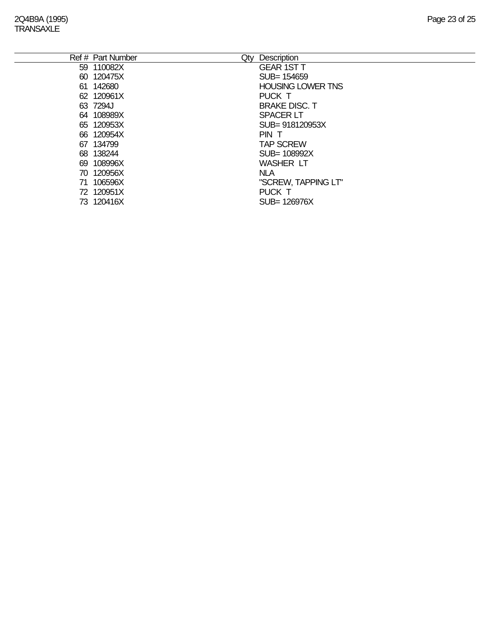| Ref # Part Number | Qty Description          |
|-------------------|--------------------------|
| 59 110082X        | <b>GEAR 1ST T</b>        |
| 60 120475X        | SUB= 154659              |
| 61 142680         | <b>HOUSING LOWER TNS</b> |
| 62 120961X        | PUCK T                   |
| 63 7294J          | <b>BRAKE DISC. T</b>     |
| 64 108989X        | <b>SPACER LT</b>         |
| 65 120953X        | SUB= 918120953X          |
| 66 120954X        | PIN T                    |
| 67 134799         | <b>TAP SCREW</b>         |
| 68 138244         | SUB= 108992X             |
| 69 108996X        | <b>WASHER LT</b>         |
| 70 120956X        | <b>NLA</b>               |
| 71 106596X        | "SCREW, TAPPING LT"      |
| 72 120951X        | PUCK T                   |
| 73 120416X        | SUB= 126976X             |
|                   |                          |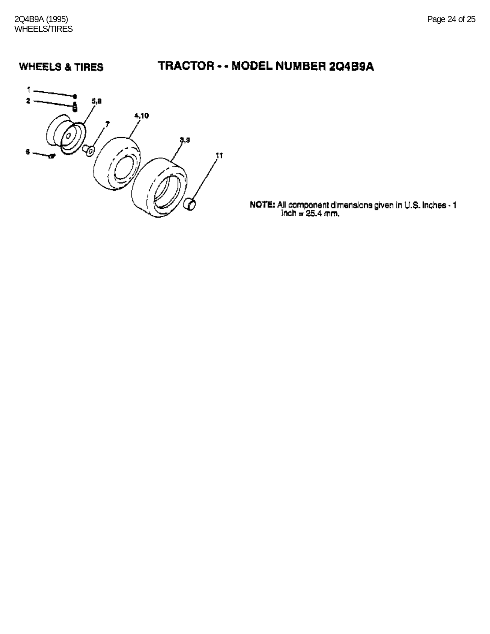### **WHEELS & TIRES**

# TRACTOR - - MODEL NUMBER 204B9A



**NOTE:** All component dimensions given in U.S. Inches  $\cdot$  1 inch = 25.4 mm.